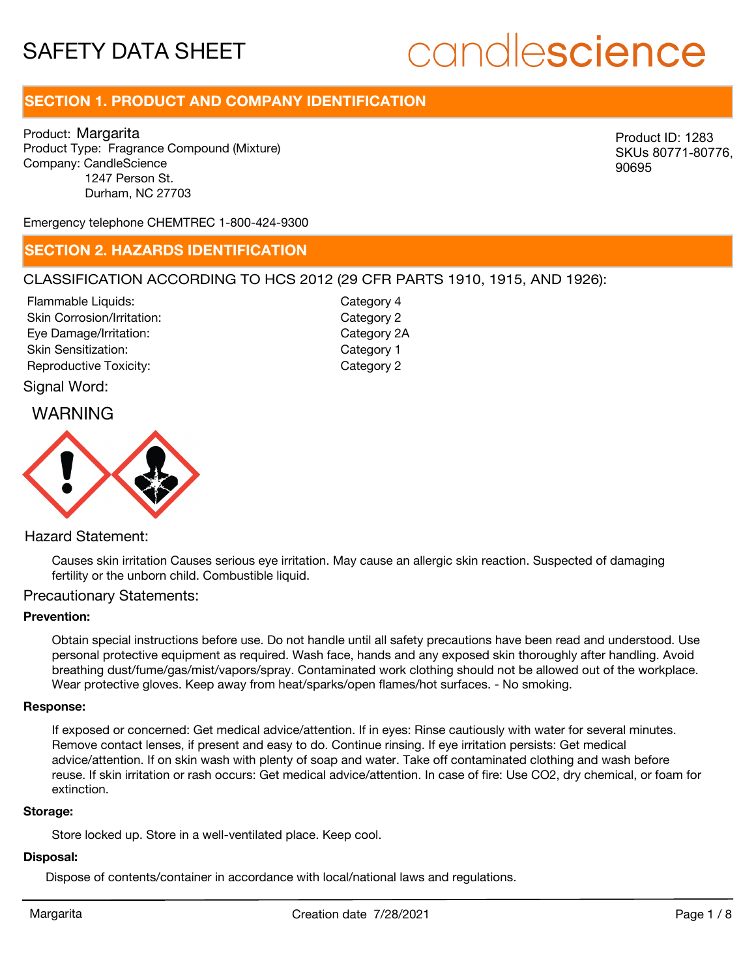# candlescience

### **SECTION 1. PRODUCT AND COMPANY IDENTIFICATION**

Product: Margarita Product Type: Fragrance Compound (Mixture) Company: CandleScience 1247 Person St. Durham, NC 27703

Product ID: 1283 SKUs 80771-80776, 90695

Emergency telephone CHEMTREC 1-800-424-9300

### **SECTION 2. HAZARDS IDENTIFICATION**

### CLASSIFICATION ACCORDING TO HCS 2012 (29 CFR PARTS 1910, 1915, AND 1926):

Skin Corrosion/Irritation: Eye Damage/Irritation: Skin Sensitization: Reproductive Toxicity: The Category 2 Flammable Liquids:

Category 2 Category 2A Category 1 Category 4

# WARNING Signal Word:



### Hazard Statement:

Causes skin irritation Causes serious eye irritation. May cause an allergic skin reaction. Suspected of damaging fertility or the unborn child. Combustible liquid.

### Precautionary Statements:

#### **Prevention:**

Obtain special instructions before use. Do not handle until all safety precautions have been read and understood. Use personal protective equipment as required. Wash face, hands and any exposed skin thoroughly after handling. Avoid breathing dust/fume/gas/mist/vapors/spray. Contaminated work clothing should not be allowed out of the workplace. Wear protective gloves. Keep away from heat/sparks/open flames/hot surfaces. - No smoking.

#### **Response:**

If exposed or concerned: Get medical advice/attention. If in eyes: Rinse cautiously with water for several minutes. Remove contact lenses, if present and easy to do. Continue rinsing. If eye irritation persists: Get medical advice/attention. If on skin wash with plenty of soap and water. Take off contaminated clothing and wash before reuse. If skin irritation or rash occurs: Get medical advice/attention. In case of fire: Use CO2, dry chemical, or foam for extinction.

#### **Storage:**

Store locked up. Store in a well-ventilated place. Keep cool.

### **Disposal:**

Dispose of contents/container in accordance with local/national laws and regulations.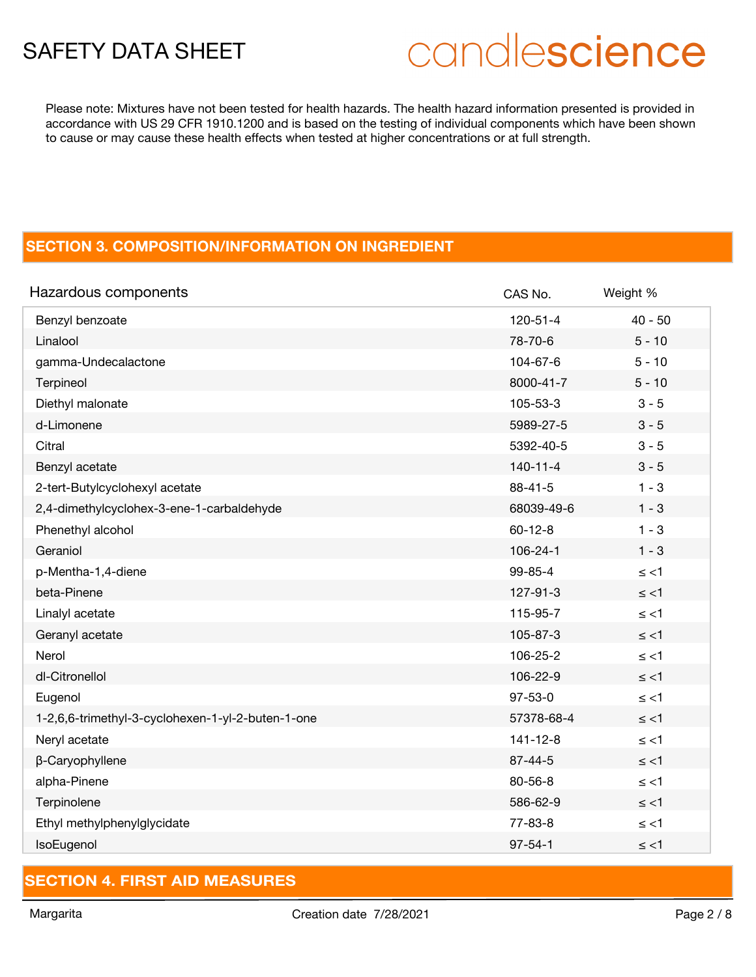# candlescience

Please note: Mixtures have not been tested for health hazards. The health hazard information presented is provided in accordance with US 29 CFR 1910.1200 and is based on the testing of individual components which have been shown to cause or may cause these health effects when tested at higher concentrations or at full strength.

# **SECTION 3. COMPOSITION/INFORMATION ON INGREDIENT**

| Hazardous components                              | CAS No.        | Weight %  |
|---------------------------------------------------|----------------|-----------|
| Benzyl benzoate                                   | 120-51-4       | $40 - 50$ |
| Linalool                                          | 78-70-6        | $5 - 10$  |
| gamma-Undecalactone                               | 104-67-6       | $5 - 10$  |
| Terpineol                                         | 8000-41-7      | $5 - 10$  |
| Diethyl malonate                                  | 105-53-3       | $3 - 5$   |
| d-Limonene                                        | 5989-27-5      | $3 - 5$   |
| Citral                                            | 5392-40-5      | $3 - 5$   |
| Benzyl acetate                                    | $140 - 11 - 4$ | $3 - 5$   |
| 2-tert-Butylcyclohexyl acetate                    | $88 - 41 - 5$  | $1 - 3$   |
| 2,4-dimethylcyclohex-3-ene-1-carbaldehyde         | 68039-49-6     | $1 - 3$   |
| Phenethyl alcohol                                 | $60 - 12 - 8$  | $1 - 3$   |
| Geraniol                                          | 106-24-1       | $1 - 3$   |
| p-Mentha-1,4-diene                                | $99 - 85 - 4$  | $\le$ <1  |
| beta-Pinene                                       | 127-91-3       | $\le$ <1  |
| Linalyl acetate                                   | 115-95-7       | $\le$ <1  |
| Geranyl acetate                                   | 105-87-3       | $\le$ <1  |
| Nerol                                             | 106-25-2       | $\le$ <1  |
| dl-Citronellol                                    | 106-22-9       | $\le$ <1  |
| Eugenol                                           | $97 - 53 - 0$  | $\le$ <1  |
| 1-2,6,6-trimethyl-3-cyclohexen-1-yl-2-buten-1-one | 57378-68-4     | $\le$ <1  |
| Neryl acetate                                     | $141 - 12 - 8$ | $\le$ <1  |
| β-Caryophyllene                                   | $87 - 44 - 5$  | $\le$ <1  |
| alpha-Pinene                                      | $80 - 56 - 8$  | $\le$ <1  |
| Terpinolene                                       | 586-62-9       | $\le$ <1  |
| Ethyl methylphenylglycidate                       | $77 - 83 - 8$  | $\le$ <1  |
| IsoEugenol                                        | $97 - 54 - 1$  | $\le$ <1  |

## **SECTION 4. FIRST AID MEASURES**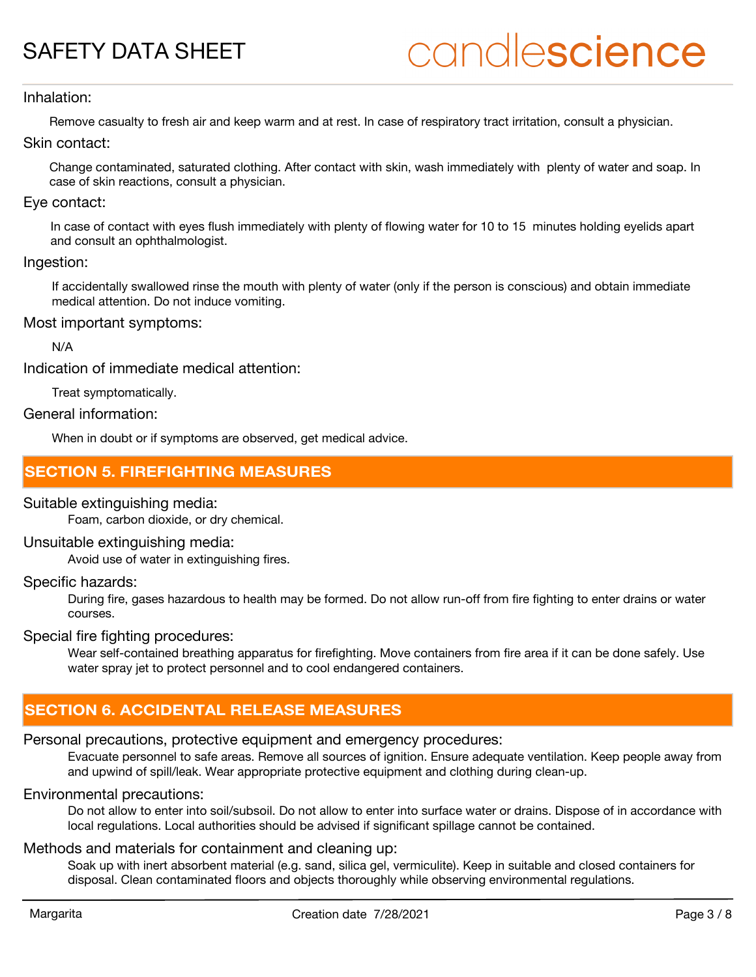# candlescience

### Inhalation:

Remove casualty to fresh air and keep warm and at rest. In case of respiratory tract irritation, consult a physician.

Skin contact:

Change contaminated, saturated clothing. After contact with skin, wash immediately with plenty of water and soap. In case of skin reactions, consult a physician.

### Eye contact:

In case of contact with eyes flush immediately with plenty of flowing water for 10 to 15 minutes holding eyelids apart and consult an ophthalmologist.

### Ingestion:

If accidentally swallowed rinse the mouth with plenty of water (only if the person is conscious) and obtain immediate medical attention. Do not induce vomiting.

### Most important symptoms:

N/A

Indication of immediate medical attention:

Treat symptomatically.

### General information:

When in doubt or if symptoms are observed, get medical advice.

### **SECTION 5. FIREFIGHTING MEASURES**

### Suitable extinguishing media:

Foam, carbon dioxide, or dry chemical.

### Unsuitable extinguishing media:

Avoid use of water in extinguishing fires.

### Specific hazards:

During fire, gases hazardous to health may be formed. Do not allow run-off from fire fighting to enter drains or water courses.

### Special fire fighting procedures:

Wear self-contained breathing apparatus for firefighting. Move containers from fire area if it can be done safely. Use water spray jet to protect personnel and to cool endangered containers.

### **SECTION 6. ACCIDENTAL RELEASE MEASURES**

### Personal precautions, protective equipment and emergency procedures:

Evacuate personnel to safe areas. Remove all sources of ignition. Ensure adequate ventilation. Keep people away from and upwind of spill/leak. Wear appropriate protective equipment and clothing during clean-up.

### Environmental precautions:

Do not allow to enter into soil/subsoil. Do not allow to enter into surface water or drains. Dispose of in accordance with local regulations. Local authorities should be advised if significant spillage cannot be contained.

### Methods and materials for containment and cleaning up:

Soak up with inert absorbent material (e.g. sand, silica gel, vermiculite). Keep in suitable and closed containers for disposal. Clean contaminated floors and objects thoroughly while observing environmental regulations.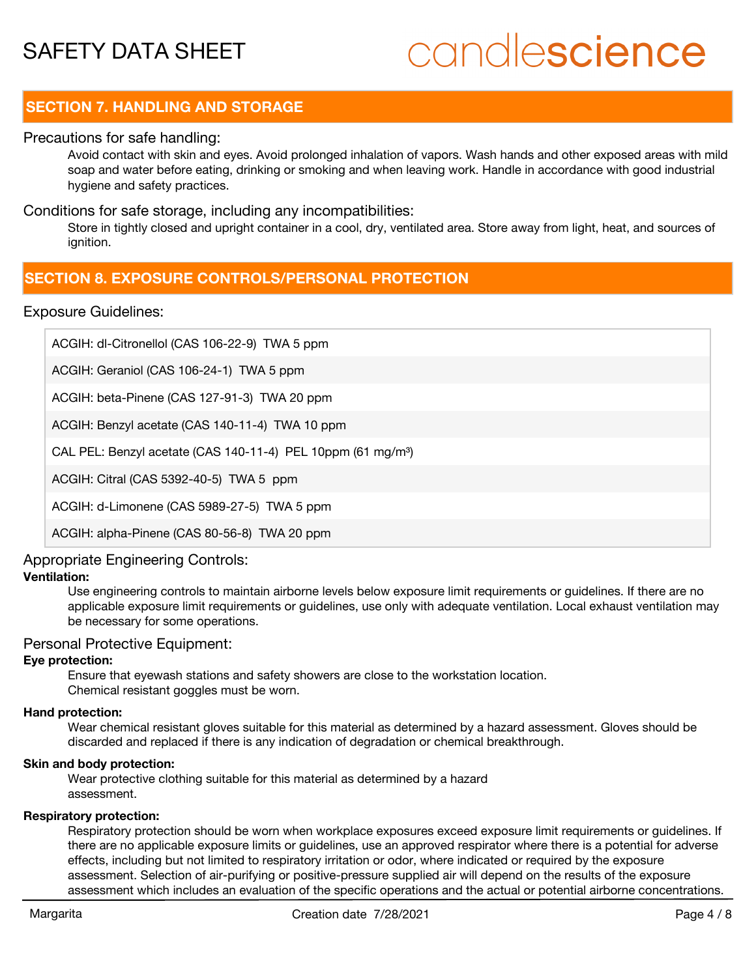# candlescience

## **SECTION 7. HANDLING AND STORAGE**

### Precautions for safe handling:

Avoid contact with skin and eyes. Avoid prolonged inhalation of vapors. Wash hands and other exposed areas with mild soap and water before eating, drinking or smoking and when leaving work. Handle in accordance with good industrial hygiene and safety practices.

### Conditions for safe storage, including any incompatibilities:

Store in tightly closed and upright container in a cool, dry, ventilated area. Store away from light, heat, and sources of ignition.

### **SECTION 8. EXPOSURE CONTROLS/PERSONAL PROTECTION**

### Exposure Guidelines:

ACGIH: dl-Citronellol (CAS 106-22-9) TWA 5 ppm

ACGIH: Geraniol (CAS 106-24-1) TWA 5 ppm

ACGIH: beta-Pinene (CAS 127-91-3) TWA 20 ppm

ACGIH: Benzyl acetate (CAS 140-11-4) TWA 10 ppm

CAL PEL: Benzyl acetate (CAS 140-11-4) PEL 10ppm (61 mg/m<sup>3</sup>)

ACGIH: Citral (CAS 5392-40-5) TWA 5 ppm

ACGIH: d-Limonene (CAS 5989-27-5) TWA 5 ppm

ACGIH: alpha-Pinene (CAS 80-56-8) TWA 20 ppm

### Appropriate Engineering Controls:

### **Ventilation:**

Use engineering controls to maintain airborne levels below exposure limit requirements or guidelines. If there are no applicable exposure limit requirements or guidelines, use only with adequate ventilation. Local exhaust ventilation may be necessary for some operations.

### Personal Protective Equipment:

### **Eye protection:**

Ensure that eyewash stations and safety showers are close to the workstation location. Chemical resistant goggles must be worn.

### **Hand protection:**

Wear chemical resistant gloves suitable for this material as determined by a hazard assessment. Gloves should be discarded and replaced if there is any indication of degradation or chemical breakthrough.

### **Skin and body protection:**

Wear protective clothing suitable for this material as determined by a hazard assessment.

### **Respiratory protection:**

Respiratory protection should be worn when workplace exposures exceed exposure limit requirements or guidelines. If there are no applicable exposure limits or guidelines, use an approved respirator where there is a potential for adverse effects, including but not limited to respiratory irritation or odor, where indicated or required by the exposure assessment. Selection of air-purifying or positive-pressure supplied air will depend on the results of the exposure assessment which includes an evaluation of the specific operations and the actual or potential airborne concentrations.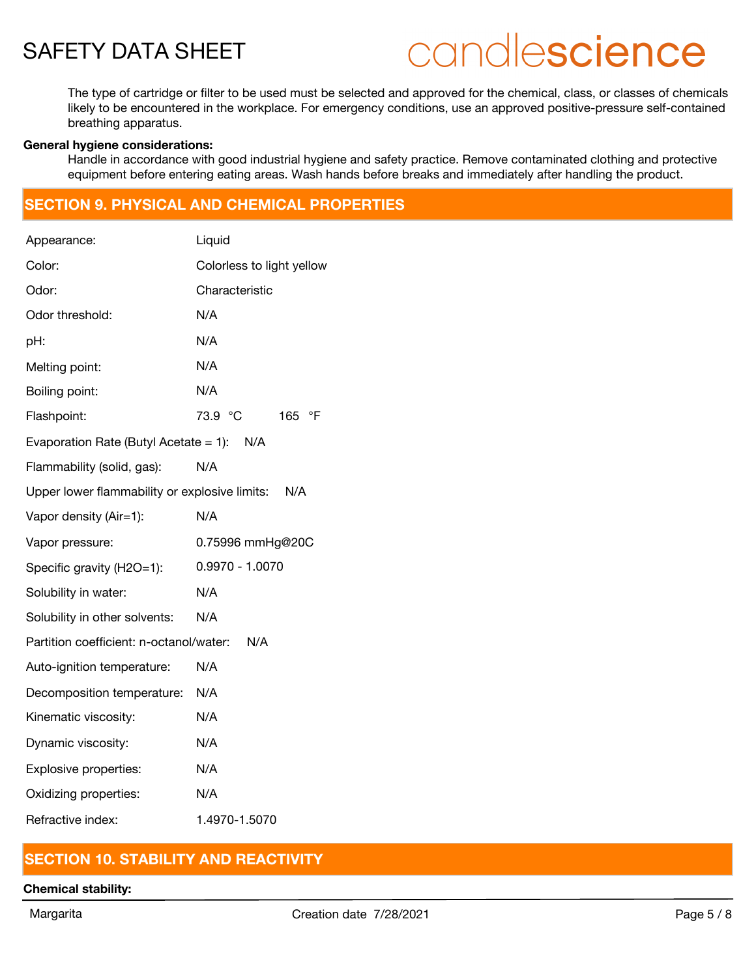# candlescience

The type of cartridge or filter to be used must be selected and approved for the chemical, class, or classes of chemicals likely to be encountered in the workplace. For emergency conditions, use an approved positive-pressure self-contained breathing apparatus.

### **General hygiene considerations:**

Handle in accordance with good industrial hygiene and safety practice. Remove contaminated clothing and protective equipment before entering eating areas. Wash hands before breaks and immediately after handling the product.

### **SECTION 9. PHYSICAL AND CHEMICAL PROPERTIES**

| Appearance:                                   | Liquid                    |  |
|-----------------------------------------------|---------------------------|--|
| Color:                                        | Colorless to light yellow |  |
| Odor:                                         | Characteristic            |  |
| Odor threshold:                               | N/A                       |  |
| pH:                                           | N/A                       |  |
| Melting point:                                | N/A                       |  |
| Boiling point:                                | N/A                       |  |
| Flashpoint:                                   | 73.9 °C<br>165 °F         |  |
| Evaporation Rate (Butyl Acetate = 1): N/A     |                           |  |
| Flammability (solid, gas):                    | N/A                       |  |
| Upper lower flammability or explosive limits: | N/A                       |  |
| Vapor density (Air=1):                        | N/A                       |  |
| Vapor pressure:                               | 0.75996 mmHg@20C          |  |
| Specific gravity (H2O=1):                     | $0.9970 - 1.0070$         |  |
| Solubility in water:                          | N/A                       |  |
| Solubility in other solvents:                 | N/A                       |  |
| Partition coefficient: n-octanol/water:       | N/A                       |  |
| Auto-ignition temperature:                    | N/A                       |  |
| Decomposition temperature:                    | N/A                       |  |
| Kinematic viscosity:                          | N/A                       |  |
| Dynamic viscosity:                            | N/A                       |  |
| Explosive properties:                         | N/A                       |  |
| Oxidizing properties:                         | N/A                       |  |
| Refractive index:                             | 1.4970-1.5070             |  |

## **SECTION 10. STABILITY AND REACTIVITY**

### **Chemical stability:**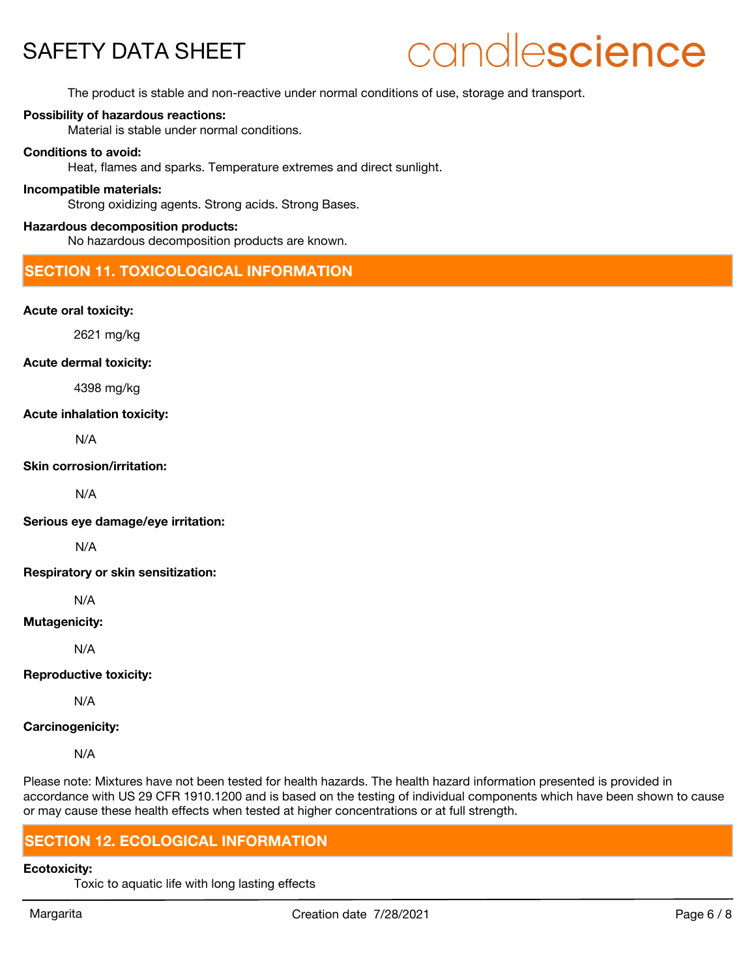# candlescience

The product is stable and non-reactive under normal conditions of use, storage and transport.

### **Possibility of hazardous reactions:**

Material is stable under normal conditions.

### **Conditions to avoid:**

Heat, flames and sparks. Temperature extremes and direct sunlight.

### **Incompatible materials:**

Strong oxidizing agents. Strong acids. Strong Bases.

### **Hazardous decomposition products:**

No hazardous decomposition products are known.

### **SECTION 11. TOXICOLOGICAL INFORMATION**

### **Acute oral toxicity:**

2621 mg/kg

#### **Acute dermal toxicity:**

4398 mg/kg

#### **Acute inhalation toxicity:**

N/A

### **Skin corrosion/irritation:**

N/A

**Serious eye damage/eye irritation:**

N/A

**Respiratory or skin sensitization:**

N/A

### **Mutagenicity:**

N/A

### **Reproductive toxicity:**

N/A

### **Carcinogenicity:**

N/A

Please note: Mixtures have not been tested for health hazards. The health hazard information presented is provided in accordance with US 29 CFR 1910.1200 and is based on the testing of individual components which have been shown to cause or may cause these health effects when tested at higher concentrations or at full strength.

### **SECTION 12. ECOLOGICAL INFORMATION**

### **Ecotoxicity:**

Toxic to aquatic life with long lasting effects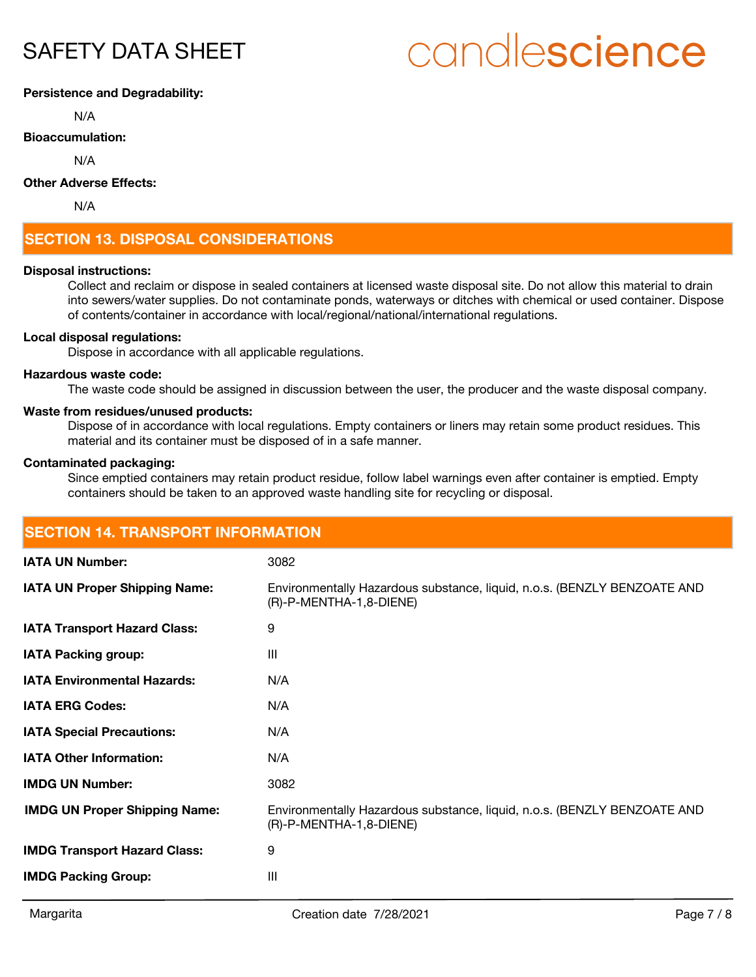# candlescience

### **Persistence and Degradability:**

N/A

### **Bioaccumulation:**

N/A

### **Other Adverse Effects:**

N/A

## **SECTION 13. DISPOSAL CONSIDERATIONS**

### **Disposal instructions:**

Collect and reclaim or dispose in sealed containers at licensed waste disposal site. Do not allow this material to drain into sewers/water supplies. Do not contaminate ponds, waterways or ditches with chemical or used container. Dispose of contents/container in accordance with local/regional/national/international regulations.

### **Local disposal regulations:**

Dispose in accordance with all applicable regulations.

### **Hazardous waste code:**

The waste code should be assigned in discussion between the user, the producer and the waste disposal company.

#### **Waste from residues/unused products:**

Dispose of in accordance with local regulations. Empty containers or liners may retain some product residues. This material and its container must be disposed of in a safe manner.

### **Contaminated packaging:**

Since emptied containers may retain product residue, follow label warnings even after container is emptied. Empty containers should be taken to an approved waste handling site for recycling or disposal.

| <b>SECTION 14. TRANSPORT INFORMATION</b> |                                                                                                     |  |
|------------------------------------------|-----------------------------------------------------------------------------------------------------|--|
| <b>IATA UN Number:</b>                   | 3082                                                                                                |  |
| <b>IATA UN Proper Shipping Name:</b>     | Environmentally Hazardous substance, liquid, n.o.s. (BENZLY BENZOATE AND<br>(R)-P-MENTHA-1,8-DIENE) |  |
| <b>IATA Transport Hazard Class:</b>      | 9                                                                                                   |  |
| <b>IATA Packing group:</b>               | $\mathbf{III}$                                                                                      |  |
| <b>IATA Environmental Hazards:</b>       | N/A                                                                                                 |  |
| <b>IATA ERG Codes:</b>                   | N/A                                                                                                 |  |
| <b>IATA Special Precautions:</b>         | N/A                                                                                                 |  |
| <b>IATA Other Information:</b>           | N/A                                                                                                 |  |
| <b>IMDG UN Number:</b>                   | 3082                                                                                                |  |
| <b>IMDG UN Proper Shipping Name:</b>     | Environmentally Hazardous substance, liquid, n.o.s. (BENZLY BENZOATE AND<br>(R)-P-MENTHA-1,8-DIENE) |  |
| <b>IMDG Transport Hazard Class:</b>      | 9                                                                                                   |  |
| <b>IMDG Packing Group:</b>               | III                                                                                                 |  |